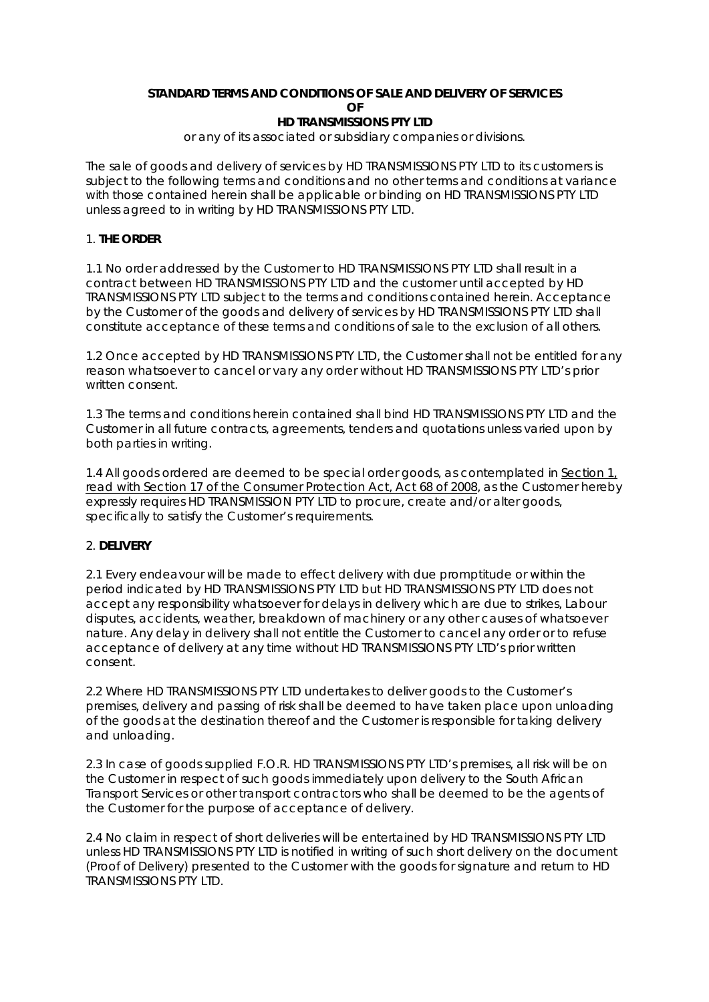#### **STANDARD TERMS AND CONDITIONS OF SALE AND DELIVERY OF SERVICES OF HD TRANSMISSIONS PTY LTD**

or any of its associated or subsidiary companies or divisions.

The sale of goods and delivery of services by HD TRANSMISSIONS PTY LTD to its customers is subject to the following terms and conditions and no other terms and conditions at variance with those contained herein shall be applicable or binding on HD TRANSMISSIONS PTY LTD unless agreed to in writing by HD TRANSMISSIONS PTY LTD.

## 1. **THE ORDER**

1.1 No order addressed by the Customer to HD TRANSMISSIONS PTY LTD shall result in a contract between HD TRANSMISSIONS PTY LTD and the customer until accepted by HD TRANSMISSIONS PTY LTD subject to the terms and conditions contained herein. Acceptance by the Customer of the goods and delivery of services by HD TRANSMISSIONS PTY LTD shall constitute acceptance of these terms and conditions of sale to the exclusion of all others.

1.2 Once accepted by HD TRANSMISSIONS PTY LTD, the Customer shall not be entitled for any reason whatsoever to cancel or vary any order without HD TRANSMISSIONS PTY LTD's prior written consent.

1.3 The terms and conditions herein contained shall bind HD TRANSMISSIONS PTY LTD and the Customer in all future contracts, agreements, tenders and quotations unless varied upon by both parties in writing.

1.4 All goods ordered are deemed to be special order goods, as contemplated in *Section 1, read with Section 17 of the Consumer Protection Act, Act 68 of 2008*, as the Customer hereby expressly requires HD TRANSMISSION PTY LTD to procure, create and/or alter goods, specifically to satisfy the Customer's requirements.

#### 2. **DELIVERY**

2.1 Every endeavour will be made to effect delivery with due promptitude or within the period indicated by HD TRANSMISSIONS PTY LTD but HD TRANSMISSIONS PTY LTD does not accept any responsibility whatsoever for delays in delivery which are due to strikes, Labour disputes, accidents, weather, breakdown of machinery or any other causes of whatsoever nature. Any delay in delivery shall not entitle the Customer to cancel any order or to refuse acceptance of delivery at any time without HD TRANSMISSIONS PTY LTD's prior written consent.

2.2 Where HD TRANSMISSIONS PTY LTD undertakes to deliver goods to the Customer's premises, delivery and passing of risk shall be deemed to have taken place upon unloading of the goods at the destination thereof and the Customer is responsible for taking delivery and unloading.

2.3 In case of goods supplied F.O.R. HD TRANSMISSIONS PTY LTD's premises, all risk will be on the Customer in respect of such goods immediately upon delivery to the South African Transport Services or other transport contractors who shall be deemed to be the agents of the Customer for the purpose of acceptance of delivery.

2.4 No claim in respect of short deliveries will be entertained by HD TRANSMISSIONS PTY LTD unless HD TRANSMISSIONS PTY LTD is notified in writing of such short delivery on the document (Proof of Delivery) presented to the Customer with the goods for signature and return to HD TRANSMISSIONS PTY LTD.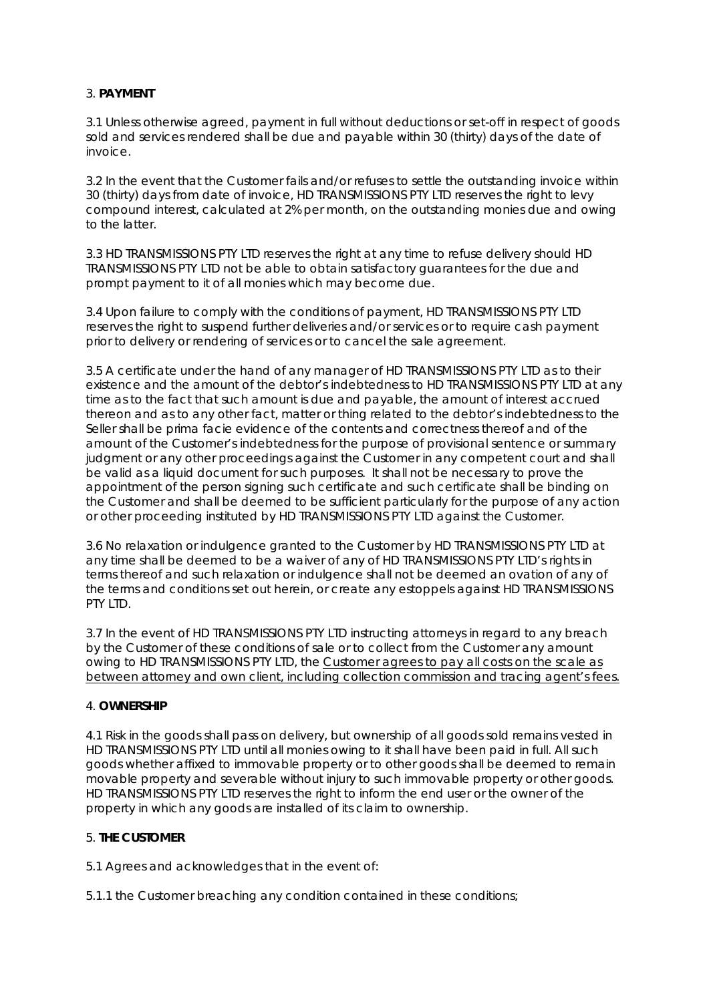# 3. **PAYMENT**

3.1 Unless otherwise agreed, payment in full without deductions or set-off in respect of goods sold and services rendered shall be due and payable within 30 (thirty) days of the date of invoice.

3.2 In the event that the Customer fails and/or refuses to settle the outstanding invoice within 30 (thirty) days from date of invoice, HD TRANSMISSIONS PTY LTD reserves the right to levy compound interest, calculated at 2% per month, on the outstanding monies due and owing to the latter.

3.3 HD TRANSMISSIONS PTY LTD reserves the right at any time to refuse delivery should HD TRANSMISSIONS PTY LTD not be able to obtain satisfactory guarantees for the due and prompt payment to it of all monies which may become due.

3.4 Upon failure to comply with the conditions of payment, HD TRANSMISSIONS PTY LTD reserves the right to suspend further deliveries and/or services or to require cash payment prior to delivery or rendering of services or to cancel the sale agreement.

3.5 A certificate under the hand of any manager of HD TRANSMISSIONS PTY LTD as to their existence and the amount of the debtor's indebtedness to HD TRANSMISSIONS PTY LTD at any time as to the fact that such amount is due and payable, the amount of interest accrued thereon and as to any other fact, matter or thing related to the debtor's indebtedness to the Seller shall be prima facie evidence of the contents and correctness thereof and of the amount of the Customer's indebtedness for the purpose of provisional sentence or summary judgment or any other proceedings against the Customer in any competent court and shall be valid as a liquid document for such purposes. It shall not be necessary to prove the appointment of the person signing such certificate and such certificate shall be binding on the Customer and shall be deemed to be sufficient particularly for the purpose of any action or other proceeding instituted by HD TRANSMISSIONS PTY LTD against the Customer.

3.6 No relaxation or indulgence granted to the Customer by HD TRANSMISSIONS PTY LTD at any time shall be deemed to be a waiver of any of HD TRANSMISSIONS PTY LTD's rights in terms thereof and such relaxation or indulgence shall not be deemed an ovation of any of the terms and conditions set out herein, or create any estoppels against HD TRANSMISSIONS PTY LTD.

3.7 In the event of HD TRANSMISSIONS PTY LTD instructing attorneys in regard to any breach by the Customer of these conditions of sale or to collect from the Customer any amount owing to HD TRANSMISSIONS PTY LTD, the *Customer agrees to pay all costs on the scale as between attorney and own client, including collection commission and tracing agent's fees.*

# 4. **OWNERSHIP**

4.1 Risk in the goods shall pass on delivery, but ownership of all goods sold remains vested in HD TRANSMISSIONS PTY LTD until all monies owing to it shall have been paid in full. All such goods whether affixed to immovable property or to other goods shall be deemed to remain movable property and severable without injury to such immovable property or other goods. HD TRANSMISSIONS PTY LTD reserves the right to inform the end user or the owner of the property in which any goods are installed of its claim to ownership.

# 5. **THE CUSTOMER**

5.1 Agrees and acknowledges that in the event of:

5.1.1 the Customer breaching any condition contained in these conditions;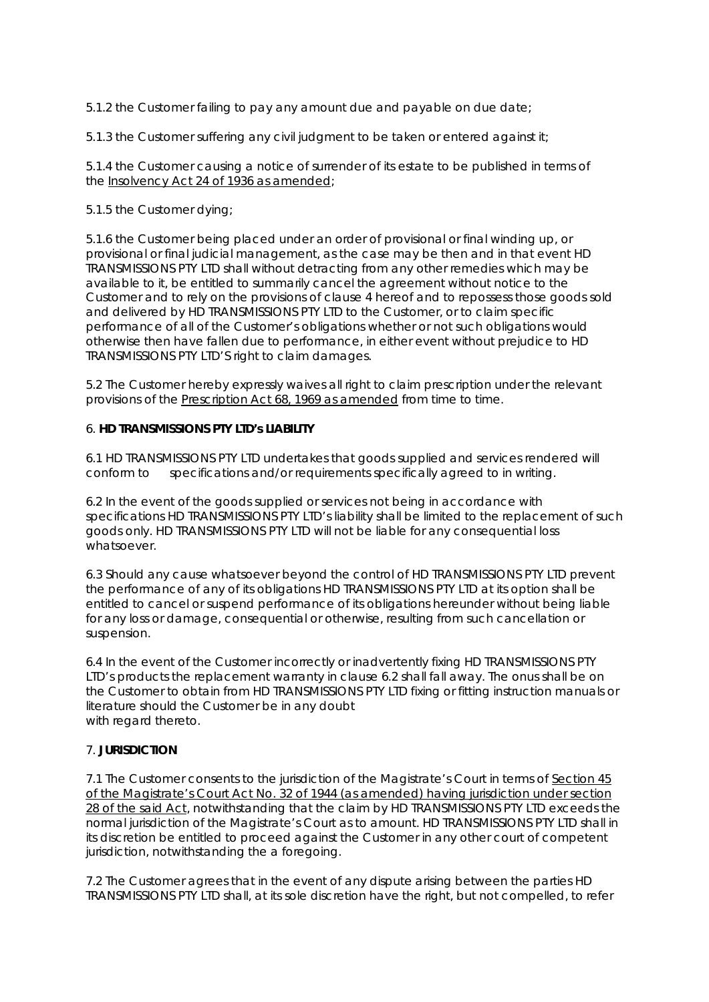5.1.2 the Customer failing to pay any amount due and payable on due date;

5.1.3 the Customer suffering any civil judgment to be taken or entered against it;

5.1.4 the Customer causing a notice of surrender of its estate to be published in terms of the *Insolvency Act 24 of 1936 as amended*;

## 5.1.5 the Customer dying;

5.1.6 the Customer being placed under an order of provisional or final winding up, or provisional or final judicial management, as the case may be then and in that event HD TRANSMISSIONS PTY LTD shall without detracting from any other remedies which may be available to it, be entitled to summarily cancel the agreement without notice to the Customer and to rely on the provisions of clause 4 hereof and to repossess those goods sold and delivered by HD TRANSMISSIONS PTY LTD to the Customer, or to claim specific performance of all of the Customer's obligations whether or not such obligations would otherwise then have fallen due to performance, in either event without prejudice to HD TRANSMISSIONS PTY LTD'S right to claim damages.

5.2 The Customer hereby expressly waives all right to claim prescription under the relevant provisions of the *Prescription Act 68, 1969 as amended* from time to time.

## 6. **HD TRANSMISSIONS PTY LTD's LIABILITY**

6.1 HD TRANSMISSIONS PTY LTD undertakes that goods supplied and services rendered will conform to specifications and/or requirements specifically agreed to in writing.

6.2 In the event of the goods supplied or services not being in accordance with specifications HD TRANSMISSIONS PTY LTD's liability shall be limited to the replacement of such goods only. HD TRANSMISSIONS PTY LTD will not be liable for any consequential loss whatsoever.

6.3 Should any cause whatsoever beyond the control of HD TRANSMISSIONS PTY LTD prevent the performance of any of its obligations HD TRANSMISSIONS PTY LTD at its option shall be entitled to cancel or suspend performance of its obligations hereunder without being liable for any loss or damage, consequential or otherwise, resulting from such cancellation or suspension.

6.4 In the event of the Customer incorrectly or inadvertently fixing HD TRANSMISSIONS PTY LTD's products the replacement warranty in clause 6.2 shall fall away. The onus shall be on the Customer to obtain from HD TRANSMISSIONS PTY LTD fixing or fitting instruction manuals or literature should the Customer be in any doubt with regard thereto.

# 7. **JURISDICTION**

7.1 The Customer consents to the jurisdiction of the Magistrate's Court in terms of *Section 45 of the Magistrate's Court Act No. 32 of 1944 (as amended) having jurisdiction under section 28 of the said Act*, notwithstanding that the claim by HD TRANSMISSIONS PTY LTD exceeds the normal jurisdiction of the Magistrate's Court as to amount. HD TRANSMISSIONS PTY LTD shall in its discretion be entitled to proceed against the Customer in any other court of competent jurisdiction, notwithstanding the a foregoing.

7.2 The Customer agrees that in the event of any dispute arising between the parties HD TRANSMISSIONS PTY LTD shall, at its sole discretion have the right, but not compelled, to refer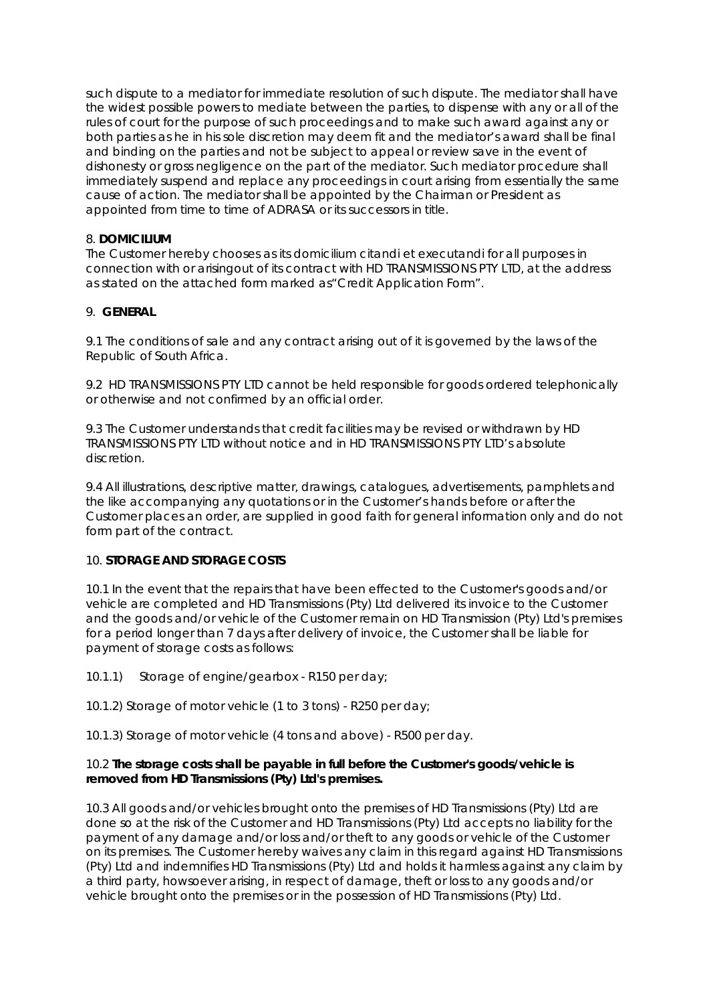such dispute to a mediator for immediate resolution of such dispute. The mediator shall have the widest possible powers to mediate between the parties, to dispense with any or all of the rules of court for the purpose of such proceedings and to make such award against any or both parties as he in his sole discretion may deem fit and the mediator's award shall be final and binding on the parties and not be subject to appeal or review save in the event of dishonesty or gross negligence on the part of the mediator. Such mediator procedure shall immediately suspend and replace any proceedings in court arising from essentially the same cause of action. The mediator shall be appointed by the Chairman or President as appointed from time to time of ADRASA or its successors in title.

## 8. **DOMICILIUM**

The Customer hereby chooses as its domicilium citandi et executandi for all purposes in connection with or arisingout of its contract with HD TRANSMISSIONS PTY LTD, at the address as stated on the attached form marked as"Credit Application Form".

## 9. **GENERAL**

9.1 The conditions of sale and any contract arising out of it is governed by the laws of the Republic of South Africa.

9.2 HD TRANSMISSIONS PTY LTD cannot be held responsible for goods ordered telephonically or otherwise and not confirmed by an official order.

9.3 The Customer understands that credit facilities may be revised or withdrawn by HD TRANSMISSIONS PTY LTD without notice and in HD TRANSMISSIONS PTY LTD's absolute discretion.

9.4 All illustrations, descriptive matter, drawings, catalogues, advertisements, pamphlets and the like accompanying any quotations or in the Customer's hands before or after the Customer places an order, are supplied in good faith for general information only and do not form part of the contract.

#### 10. **STORAGE AND STORAGE COSTS**

10.1 In the event that the repairs that have been effected to the Customer's goods and/or vehicle are completed and HD Transmissions (Pty) Ltd delivered its invoice to the Customer and the goods and/or vehicle of the Customer remain on HD Transmission (Pty) Ltd's premises for a period longer than 7 days after delivery of invoice, the Customer shall be liable for payment of storage costs as follows:

10.1.1) Storage of engine/gearbox - R150 per day;

10.1.2) Storage of motor vehicle (1 to 3 tons) - R250 per day;

10.1.3) Storage of motor vehicle (4 tons and above) - R500 per day.

## 10.2 **The storage costs shall be payable in full before the Customer's goods/vehicle is removed from HD Transmissions (Pty) Ltd's premises.**

10.3 All goods and/or vehicles brought onto the premises of HD Transmissions (Pty) Ltd are done so at the risk of the Customer and HD Transmissions (Pty) Ltd accepts no liability for the payment of any damage and/or loss and/or theft to any goods or vehicle of the Customer on its premises. The Customer hereby waives any claim in this regard against HD Transmissions (Pty) Ltd and indemnifies HD Transmissions (Pty) Ltd and holds it harmless against any claim by a third party, howsoever arising, in respect of damage, theft or loss to any goods and/or vehicle brought onto the premises or in the possession of HD Transmissions (Pty) Ltd.